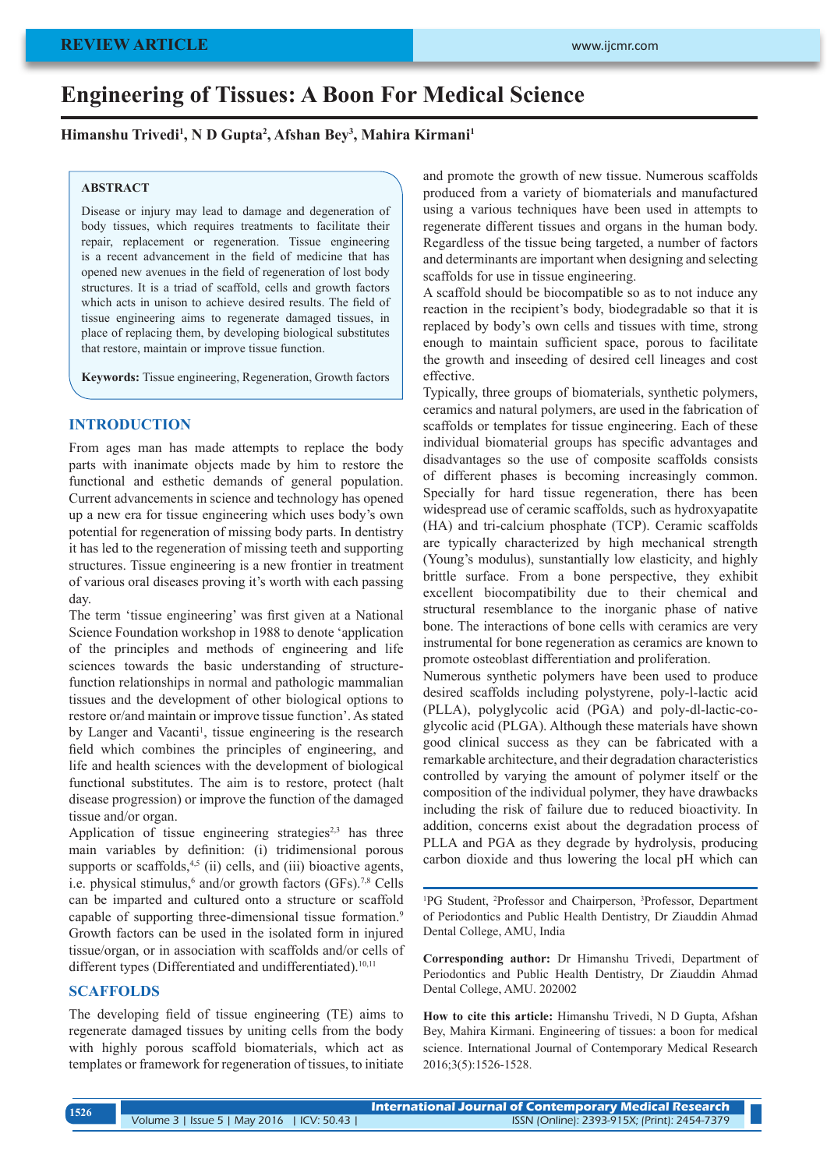# **Engineering of Tissues: A Boon For Medical Science**

**Himanshu Trivedi1 , N D Gupta2 , Afshan Bey3 , Mahira Kirmani1**

#### **ABSTRACT**

Disease or injury may lead to damage and degeneration of body tissues, which requires treatments to facilitate their repair, replacement or regeneration. Tissue engineering is a recent advancement in the field of medicine that has opened new avenues in the field of regeneration of lost body structures. It is a triad of scaffold, cells and growth factors which acts in unison to achieve desired results. The field of tissue engineering aims to regenerate damaged tissues, in place of replacing them, by developing biological substitutes that restore, maintain or improve tissue function.

**Keywords:** Tissue engineering, Regeneration, Growth factors

### **INTRODUCTION**

From ages man has made attempts to replace the body parts with inanimate objects made by him to restore the functional and esthetic demands of general population. Current advancements in science and technology has opened up a new era for tissue engineering which uses body's own potential for regeneration of missing body parts. In dentistry it has led to the regeneration of missing teeth and supporting structures. Tissue engineering is a new frontier in treatment of various oral diseases proving it's worth with each passing day.

The term 'tissue engineering' was first given at a National Science Foundation workshop in 1988 to denote 'application of the principles and methods of engineering and life sciences towards the basic understanding of structurefunction relationships in normal and pathologic mammalian tissues and the development of other biological options to restore or/and maintain or improve tissue function'. As stated by Langer and Vacanti<sup>1</sup>, tissue engineering is the research field which combines the principles of engineering, and life and health sciences with the development of biological functional substitutes. The aim is to restore, protect (halt disease progression) or improve the function of the damaged tissue and/or organ.

Application of tissue engineering strategies<sup> $2,3$ </sup> has three main variables by definition: (i) tridimensional porous supports or scaffolds, $4,5$  (ii) cells, and (iii) bioactive agents, i.e. physical stimulus,<sup>6</sup> and/or growth factors (GFs).<sup>7,8</sup> Cells can be imparted and cultured onto a structure or scaffold capable of supporting three-dimensional tissue formation.<sup>9</sup> Growth factors can be used in the isolated form in injured tissue/organ, or in association with scaffolds and/or cells of different types (Differentiated and undifferentiated).<sup>10,11</sup>

#### **SCAFFOLDS**

The developing field of tissue engineering (TE) aims to regenerate damaged tissues by uniting cells from the body with highly porous scaffold biomaterials, which act as templates or framework for regeneration of tissues, to initiate and promote the growth of new tissue. Numerous scaffolds produced from a variety of biomaterials and manufactured using a various techniques have been used in attempts to regenerate different tissues and organs in the human body. Regardless of the tissue being targeted, a number of factors and determinants are important when designing and selecting scaffolds for use in tissue engineering.

A scaffold should be biocompatible so as to not induce any reaction in the recipient's body, biodegradable so that it is replaced by body's own cells and tissues with time, strong enough to maintain sufficient space, porous to facilitate the growth and inseeding of desired cell lineages and cost effective.

Typically, three groups of biomaterials, synthetic polymers, ceramics and natural polymers, are used in the fabrication of scaffolds or templates for tissue engineering. Each of these individual biomaterial groups has specific advantages and disadvantages so the use of composite scaffolds consists of different phases is becoming increasingly common. Specially for hard tissue regeneration, there has been widespread use of ceramic scaffolds, such as hydroxyapatite (HA) and tri-calcium phosphate (TCP). Ceramic scaffolds are typically characterized by high mechanical strength (Young's modulus), sunstantially low elasticity, and highly brittle surface. From a bone perspective, they exhibit excellent biocompatibility due to their chemical and structural resemblance to the inorganic phase of native bone. The interactions of bone cells with ceramics are very instrumental for bone regeneration as ceramics are known to promote osteoblast differentiation and proliferation.

Numerous synthetic polymers have been used to produce desired scaffolds including polystyrene, poly-l-lactic acid (PLLA), polyglycolic acid (PGA) and poly-dl-lactic-coglycolic acid (PLGA). Although these materials have shown good clinical success as they can be fabricated with a remarkable architecture, and their degradation characteristics controlled by varying the amount of polymer itself or the composition of the individual polymer, they have drawbacks including the risk of failure due to reduced bioactivity. In addition, concerns exist about the degradation process of PLLA and PGA as they degrade by hydrolysis, producing carbon dioxide and thus lowering the local pH which can

<sup>1</sup>PG Student, <sup>2</sup>Professor and Chairperson, <sup>3</sup>Professor, Department of Periodontics and Public Health Dentistry, Dr Ziauddin Ahmad Dental College, AMU, India

**Corresponding author:** Dr Himanshu Trivedi, Department of Periodontics and Public Health Dentistry, Dr Ziauddin Ahmad Dental College, AMU. 202002

**How to cite this article:** Himanshu Trivedi, N D Gupta, Afshan Bey, Mahira Kirmani. Engineering of tissues: a boon for medical science. International Journal of Contemporary Medical Research 2016;3(5):1526-1528.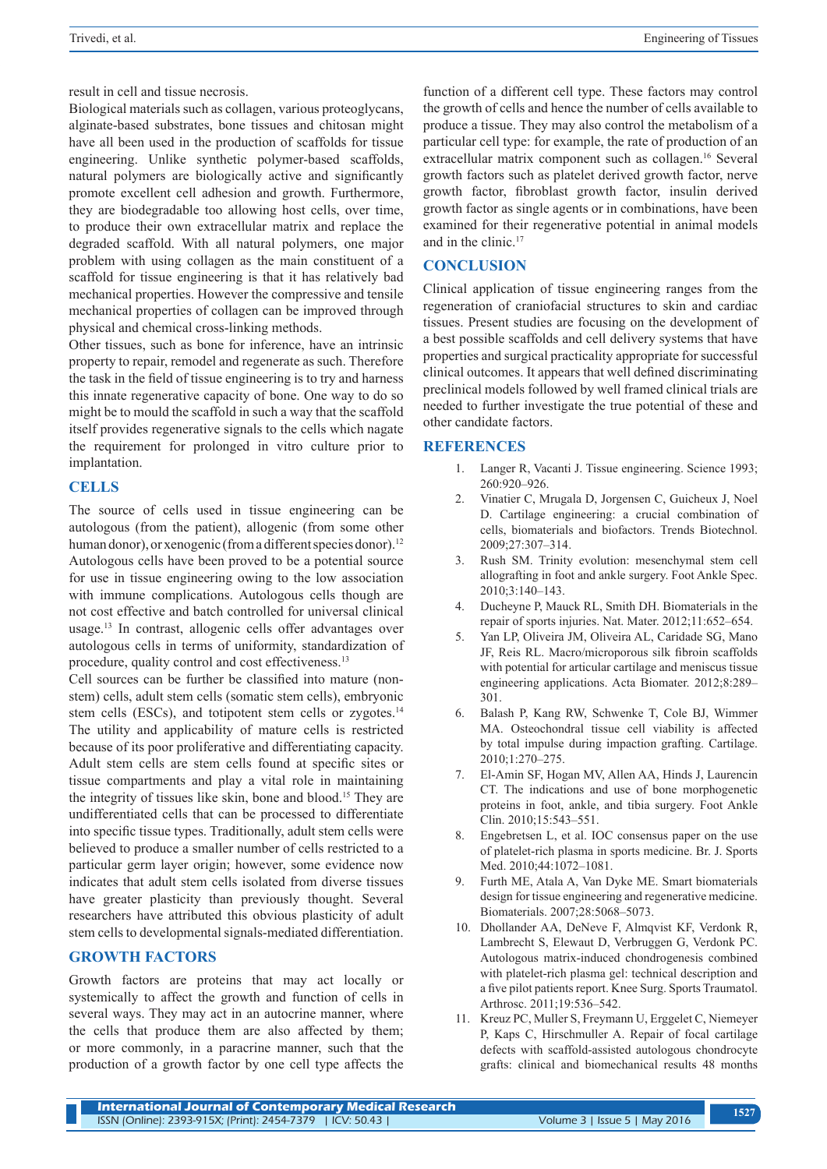result in cell and tissue necrosis.

Biological materials such as collagen, various proteoglycans, alginate-based substrates, bone tissues and chitosan might have all been used in the production of scaffolds for tissue engineering. Unlike synthetic polymer-based scaffolds, natural polymers are biologically active and significantly promote excellent cell adhesion and growth. Furthermore, they are biodegradable too allowing host cells, over time, to produce their own extracellular matrix and replace the degraded scaffold. With all natural polymers, one major problem with using collagen as the main constituent of a scaffold for tissue engineering is that it has relatively bad mechanical properties. However the compressive and tensile mechanical properties of collagen can be improved through physical and chemical cross-linking methods.

Other tissues, such as bone for inference, have an intrinsic property to repair, remodel and regenerate as such. Therefore the task in the field of tissue engineering is to try and harness this innate regenerative capacity of bone. One way to do so might be to mould the scaffold in such a way that the scaffold itself provides regenerative signals to the cells which nagate the requirement for prolonged in vitro culture prior to implantation.

## **CELLS**

The source of cells used in tissue engineering can be autologous (from the patient), allogenic (from some other human donor), or xenogenic (from a different species donor).<sup>12</sup> Autologous cells have been proved to be a potential source for use in tissue engineering owing to the low association with immune complications. Autologous cells though are not cost effective and batch controlled for universal clinical usage.13 In contrast, allogenic cells offer advantages over autologous cells in terms of uniformity, standardization of procedure, quality control and cost effectiveness.13

Cell sources can be further be classified into mature (nonstem) cells, adult stem cells (somatic stem cells), embryonic stem cells (ESCs), and totipotent stem cells or zygotes. $14$ The utility and applicability of mature cells is restricted because of its poor proliferative and differentiating capacity. Adult stem cells are stem cells found at specific sites or tissue compartments and play a vital role in maintaining the integrity of tissues like skin, bone and blood.15 They are undifferentiated cells that can be processed to differentiate into specific tissue types. Traditionally, adult stem cells were believed to produce a smaller number of cells restricted to a particular germ layer origin; however, some evidence now indicates that adult stem cells isolated from diverse tissues have greater plasticity than previously thought. Several researchers have attributed this obvious plasticity of adult stem cells to developmental signals-mediated differentiation.

## **GROWTH FACTORS**

Growth factors are proteins that may act locally or systemically to affect the growth and function of cells in several ways. They may act in an autocrine manner, where the cells that produce them are also affected by them; or more commonly, in a paracrine manner, such that the production of a growth factor by one cell type affects the

function of a different cell type. These factors may control the growth of cells and hence the number of cells available to produce a tissue. They may also control the metabolism of a particular cell type: for example, the rate of production of an extracellular matrix component such as collagen.16 Several growth factors such as platelet derived growth factor, nerve growth factor, fibroblast growth factor, insulin derived growth factor as single agents or in combinations, have been examined for their regenerative potential in animal models and in the clinic.17

## **CONCLUSION**

Clinical application of tissue engineering ranges from the regeneration of craniofacial structures to skin and cardiac tissues. Present studies are focusing on the development of a best possible scaffolds and cell delivery systems that have properties and surgical practicality appropriate for successful clinical outcomes. It appears that well defined discriminating preclinical models followed by well framed clinical trials are needed to further investigate the true potential of these and other candidate factors.

#### **REFERENCES**

- 1. Langer R, Vacanti J. Tissue engineering. Science 1993; 260:920–926.
- 2. Vinatier C, Mrugala D, Jorgensen C, Guicheux J, Noel D. Cartilage engineering: a crucial combination of cells, biomaterials and biofactors. Trends Biotechnol. 2009;27:307–314.
- 3. Rush SM. Trinity evolution: mesenchymal stem cell allografting in foot and ankle surgery. Foot Ankle Spec. 2010;3:140–143.
- 4. Ducheyne P, Mauck RL, Smith DH. Biomaterials in the repair of sports injuries. Nat. Mater. 2012;11:652–654.
- 5. Yan LP, Oliveira JM, Oliveira AL, Caridade SG, Mano JF, Reis RL. Macro/microporous silk fibroin scaffolds with potential for articular cartilage and meniscus tissue engineering applications. Acta Biomater. 2012;8:289– 301.
- 6. Balash P, Kang RW, Schwenke T, Cole BJ, Wimmer MA. Osteochondral tissue cell viability is affected by total impulse during impaction grafting. Cartilage. 2010;1:270–275.
- 7. El-Amin SF, Hogan MV, Allen AA, Hinds J, Laurencin CT. The indications and use of bone morphogenetic proteins in foot, ankle, and tibia surgery. Foot Ankle Clin. 2010;15:543–551.
- 8. Engebretsen L, et al. IOC consensus paper on the use of platelet-rich plasma in sports medicine. Br. J. Sports Med. 2010;44:1072–1081.
- 9. Furth ME, Atala A, Van Dyke ME. Smart biomaterials design for tissue engineering and regenerative medicine. Biomaterials. 2007;28:5068–5073.
- 10. Dhollander AA, DeNeve F, Almqvist KF, Verdonk R, Lambrecht S, Elewaut D, Verbruggen G, Verdonk PC. Autologous matrix-induced chondrogenesis combined with platelet-rich plasma gel: technical description and a five pilot patients report. Knee Surg. Sports Traumatol. Arthrosc. 2011;19:536–542.
- 11. Kreuz PC, Muller S, Freymann U, Erggelet C, Niemeyer P, Kaps C, Hirschmuller A. Repair of focal cartilage defects with scaffold-assisted autologous chondrocyte grafts: clinical and biomechanical results 48 months